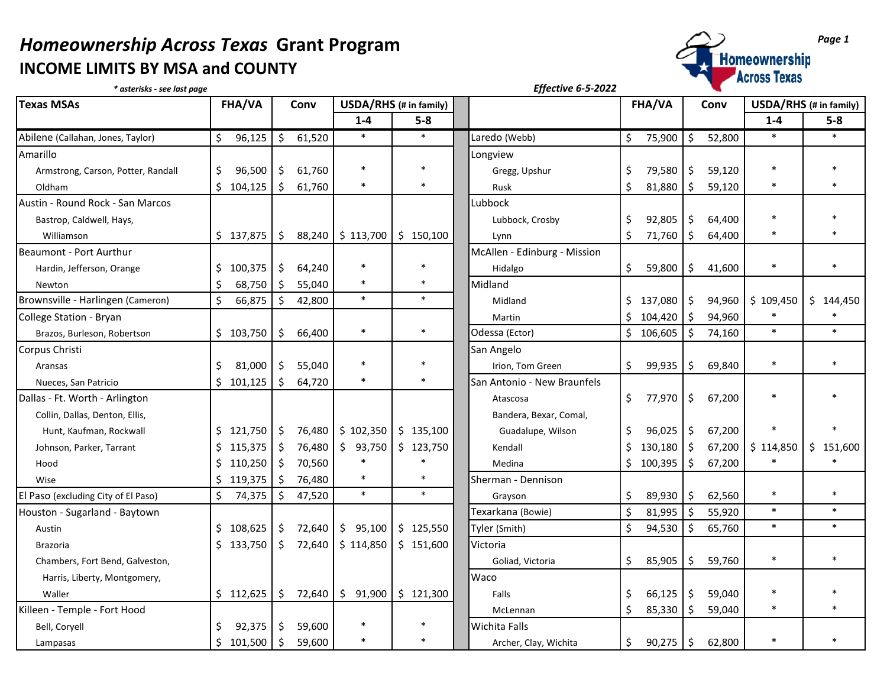## *Homeownership Across Texas* Grant Program<br>
INCOME LIMITS BY MSA and COUNTY **INCOME LIMITS BY MSA and COUNTY**



| * asterisks - see last page         |               |                   |                                |                                            | <b>Effective 6-5-2022</b>    |                   |                   |                        |           |  |
|-------------------------------------|---------------|-------------------|--------------------------------|--------------------------------------------|------------------------------|-------------------|-------------------|------------------------|-----------|--|
| <b>Texas MSAs</b>                   | <b>FHA/VA</b> | Conv              | USDA/RHS (# in family)         |                                            |                              | FHA/VA            | Conv              | USDA/RHS (# in family) |           |  |
|                                     |               |                   | $1 - 4$                        | $5-8$                                      |                              |                   |                   | $1 - 4$                | $5-8$     |  |
| Abilene (Callahan, Jones, Taylor)   | \$<br>96,125  | $\zeta$<br>61,520 | $\ast$                         | $\ast$                                     | Laredo (Webb)                | \$<br>75,900      | \$<br>52,800      | $\ast$                 | $\ast$    |  |
| Amarillo                            |               |                   |                                |                                            | Longview                     |                   |                   |                        |           |  |
| Armstrong, Carson, Potter, Randall  | \$<br>96,500  | \$<br>61,760      | $\ast$                         |                                            | Gregg, Upshur                | \$<br>79,580      | \$<br>59,120      | $\ast$                 |           |  |
| Oldham                              | \$104,125     | Ŝ.<br>61,760      | $\ast$                         | $\ast$                                     | Rusk                         | \$<br>81,880      | \$<br>59,120      | $\ast$                 |           |  |
| Austin - Round Rock - San Marcos    |               |                   |                                |                                            | Lubbock                      |                   |                   |                        |           |  |
| Bastrop, Caldwell, Hays,            |               |                   |                                |                                            | Lubbock, Crosby              | \$<br>92,805      | \$<br>64,400      | $\ast$                 |           |  |
| Williamson                          | \$137,875     | l \$              | 88,240   \$113,700   \$150,100 |                                            | Lynn                         | \$<br>71,760      | \$<br>64,400      | $\ast$                 |           |  |
| Beaumont - Port Aurthur             |               |                   |                                |                                            | McAllen - Edinburg - Mission |                   |                   |                        |           |  |
| Hardin, Jefferson, Orange           | 100,375<br>S. | \$<br>64,240      | $\ast$                         | $\ast$                                     | Hidalgo                      | \$<br>59,800      | \$<br>41,600      | $\ast$                 |           |  |
| Newton                              | 68,750<br>Ŝ.  | Ŝ.<br>55,040      |                                | $\ast$                                     | Midland                      |                   |                   |                        |           |  |
| Brownsville - Harlingen (Cameron)   | \$<br>66,875  | \$<br>42,800      | $\ast$                         | $\ast$                                     | Midland                      | 137,080<br>Ŝ.     | \$<br>94,960      | \$109,450              | \$144,450 |  |
| College Station - Bryan             |               |                   |                                |                                            | Martin                       | \$.<br>104,420    | $\zeta$<br>94,960 | $\ast$                 | $\ast$    |  |
| Brazos, Burleson, Robertson         | \$103,750     | 66,400<br>\$      | $\ast$                         | $\ast$                                     | Odessa (Ector)               | \$106,605         | \$<br>74,160      | $\ast$                 | $\ast$    |  |
| Corpus Christi                      |               |                   |                                |                                            | San Angelo                   |                   |                   |                        |           |  |
| Aransas                             | \$<br>81,000  | \$<br>55,040      | $\ast$                         |                                            | Irion, Tom Green             | \$<br>99,935      | 69,840<br>Ŝ.      | $\ast$                 | $\ast$    |  |
| Nueces, San Patricio                | Ś.<br>101,125 | Ŝ.<br>64,720      |                                |                                            | San Antonio - New Braunfels  |                   |                   |                        |           |  |
| Dallas - Ft. Worth - Arlington      |               |                   |                                |                                            | Atascosa                     | \$<br>77,970      | \$<br>67,200      | $\ast$                 |           |  |
| Collin, Dallas, Denton, Ellis,      |               |                   |                                |                                            | Bandera, Bexar, Comal,       |                   |                   |                        |           |  |
| Hunt, Kaufman, Rockwall             | \$121,750     | \$<br>76,480      | \$102,350                      | \$135,100                                  | Guadalupe, Wilson            | \$<br>96,025      | -\$<br>67,200     |                        |           |  |
| Johnson, Parker, Tarrant            | \$<br>115,375 | 76,480<br>\$      | \$93,750                       | \$123,750                                  | Kendall                      | \$<br>130,180     | \$<br>67,200      | \$114,850              | \$151,600 |  |
| Hood                                | 110,250<br>Ŝ. | \$<br>70,560      |                                |                                            | Medina                       | \$.<br>100,395    | \$<br>67,200      |                        |           |  |
| Wise                                | 119,375<br>\$ | \$<br>76,480      | $\ast$                         | $\ast$                                     | Sherman - Dennison           |                   |                   |                        |           |  |
| El Paso (excluding City of El Paso) | \$<br>74,375  | \$<br>47,520      | $\ast$                         | $\ast$                                     | Grayson                      | \$<br>89,930      | 62,560<br>Ŝ.      | $\ast$                 | $\ast$    |  |
| Houston - Sugarland - Baytown       |               |                   |                                |                                            | Texarkana (Bowie)            | $\zeta$<br>81,995 | Ŝ.<br>55,920      | $\ast$                 | $\ast$    |  |
| Austin                              | \$<br>108,625 | 72,640<br>-\$     | \$95,100                       | \$125,550                                  | Tyler (Smith)                | \$<br>94,530      | \$.<br>65,760     | $\ast$                 | $\ast$    |  |
| <b>Brazoria</b>                     | \$133,750     | \$<br>72,640      | \$114,850                      | \$151,600                                  | Victoria                     |                   |                   |                        |           |  |
| Chambers, Fort Bend, Galveston,     |               |                   |                                |                                            | Goliad, Victoria             | \$<br>85,905      | \$<br>59,760      | $\ast$                 | $\ast$    |  |
| Harris, Liberty, Montgomery,        |               |                   |                                |                                            | Waco                         |                   |                   |                        |           |  |
| Waller                              | \$112,625     | \$<br>72,640      |                                | $\frac{1}{2}$ 91,900 $\frac{1}{2}$ 121,300 | Falls                        | \$<br>66,125      | 59,040<br>\$      |                        |           |  |
| Killeen - Temple - Fort Hood        |               |                   |                                |                                            | McLennan                     | Ŝ.<br>85,330      | \$<br>59,040      | $\ast$                 |           |  |
| Bell, Coryell                       | Ŝ.<br>92,375  | \$<br>59,600      | $\ast$                         |                                            | <b>Wichita Falls</b>         |                   |                   |                        |           |  |
| Lampasas                            | \$101,500     | $\zeta$<br>59,600 |                                | $\ast$                                     | Archer, Clay, Wichita        | \$<br>90,275      | \$<br>62,800      |                        |           |  |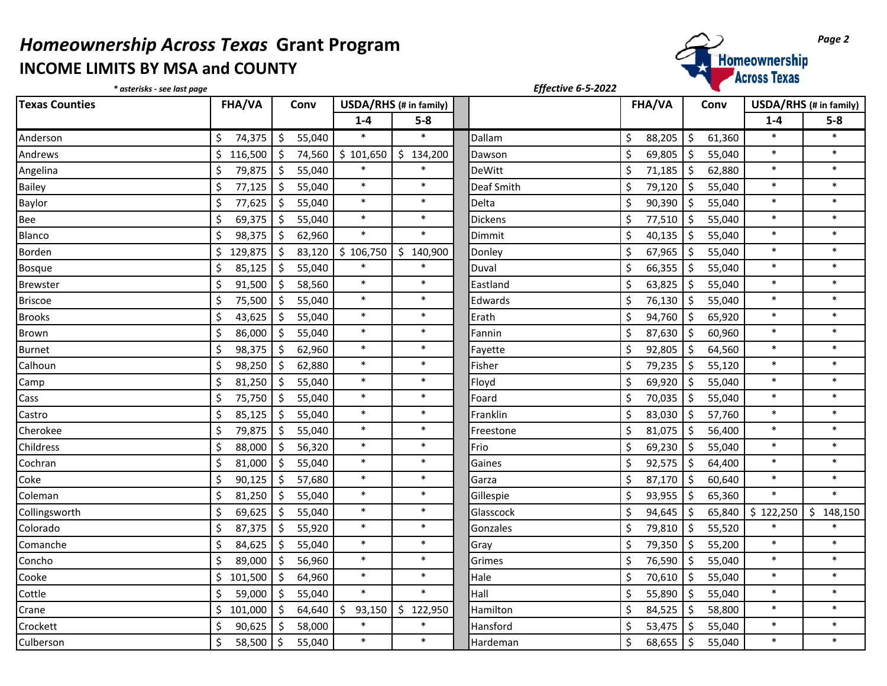## *Homeownership Across Texas* Grant Program<br>
INCOME LIMITS BY MSA and COUNTY **INCOME LIMITS BY MSA and COUNTY**



| * asterisks - see last page |                   |                   |              |                        | Effective 6-5-2022 |               |                   |           |                        |
|-----------------------------|-------------------|-------------------|--------------|------------------------|--------------------|---------------|-------------------|-----------|------------------------|
| <b>Texas Counties</b>       | <b>FHA/VA</b>     | Conv              |              | USDA/RHS (# in family) |                    | <b>FHA/VA</b> | Conv              |           | USDA/RHS (# in family) |
|                             |                   |                   | $1 - 4$      | $5-8$                  |                    |               |                   | $1 - 4$   | $5-8$                  |
| Anderson                    | \$<br>74,375      | $\zeta$<br>55,040 | $\ast$       | $\ast$                 | Dallam             | \$<br>88,205  | \$<br>61,360      | $\ast$    | $\ast$                 |
| Andrews                     | \$<br>116,500     | $\zeta$<br>74,560 | \$101,650    | \$134,200              | Dawson             | \$<br>69,805  | $\zeta$<br>55,040 | $\ast$    | $\ast$                 |
| Angelina                    | \$<br>79,875      | \$<br>55,040      | $\ast$       | $\ast$                 | <b>DeWitt</b>      | \$<br>71,185  | $\zeta$<br>62,880 | $\ast$    | $\ast$                 |
| Bailey                      | \$<br>77,125      | $\zeta$<br>55,040 | $\ast$       | $\ast$                 | Deaf Smith         | \$<br>79,120  | \$<br>55,040      | $\ast$    | $\ast$                 |
| Baylor                      | $\zeta$<br>77,625 | \$<br>55,040      | $\ast$       | $\ast$                 | Delta              | \$<br>90,390  | \$<br>55,040      | $\ast$    | $\ast$                 |
| Bee                         | \$<br>69,375      | \$<br>55,040      | $\ast$       | $\ast$                 | Dickens            | Ś<br>77,510   | \$<br>55,040      | $\ast$    | $\ast$                 |
| Blanco                      | \$<br>98,375      | \$<br>62,960      | $\ast$       | $\ast$                 | Dimmit             | Ś<br>40,135   | \$<br>55,040      | $\ast$    | $\ast$                 |
| <b>Borden</b>               | \$<br>129,875     | \$<br>83,120      | \$106,750    | \$140,900              | Donley             | \$<br>67,965  | $\zeta$<br>55,040 | $\ast$    | $\ast$                 |
| <b>Bosque</b>               | \$<br>85,125      | \$<br>55,040      | $\ast$       | $\ast$                 | Duval              | \$<br>66,355  | Ŝ.<br>55,040      | $\ast$    | $\ast$                 |
| <b>Brewster</b>             | $\zeta$<br>91,500 | \$<br>58,560      | $\ast$       | $\ast$                 | Eastland           | \$<br>63,825  | $\zeta$<br>55,040 | $\ast$    | $\ast$                 |
| <b>Briscoe</b>              | \$<br>75,500      | Ŝ.<br>55,040      | $\ast$       | $\ast$                 | Edwards            | \$<br>76,130  | \$<br>55,040      | $\ast$    | $\ast$                 |
| <b>Brooks</b>               | \$<br>43,625      | \$<br>55,040      | $\ast$       | $\ast$                 | Erath              | \$<br>94,760  | $\zeta$<br>65,920 | $\ast$    | $\ast$                 |
| <b>Brown</b>                | \$<br>86,000      | \$<br>55,040      | $\ast$       | $\ast$                 | Fannin             | Ś<br>87,630   | $\zeta$<br>60,960 | $\ast$    | $\ast$                 |
| <b>Burnet</b>               | \$<br>98,375      | 62,960<br>\$      | $\ast$       | $\ast$                 | Fayette            | Ś<br>92,805   | \$<br>64,560      | $\ast$    | $\ast$                 |
| Calhoun                     | \$<br>98,250      | \$<br>62,880      | $\ast$       | $\ast$                 | Fisher             | \$<br>79,235  | \$<br>55,120      | $\ast$    | $\ast$                 |
| Camp                        | \$<br>81,250      | \$<br>55,040      | $\ast$       | $\ast$                 | Floyd              | \$<br>69,920  | \$<br>55,040      | $\ast$    | $\ast$                 |
| Cass                        | $\zeta$<br>75,750 | $\zeta$<br>55,040 | $\ast$       | $\ast$                 | Foard              | Ś.<br>70,035  | Ś.<br>55,040      | $\ast$    | $\ast$                 |
| Castro                      | Ś<br>85,125       | Ŝ.<br>55,040      | $\ast$       | $\ast$                 | Franklin           | Ś<br>83,030   | $\zeta$<br>57,760 | $\ast$    | $\ast$                 |
| Cherokee                    | \$<br>79,875      | \$<br>55,040      | $\ast$       | $\ast$                 | Freestone          | \$<br>81,075  | \$<br>56,400      | $\ast$    | $\ast$                 |
| Childress                   | \$<br>88,000      | \$<br>56,320      | $\ast$       | $\ast$                 | Frio               | Ś.<br>69,230  | $\zeta$<br>55,040 | $\ast$    | $\ast$                 |
| Cochran                     | $\zeta$<br>81,000 | \$<br>55,040      | $\ast$       | $\ast$                 | Gaines             | \$<br>92,575  | $\zeta$<br>64,400 | $\ast$    | $\ast$                 |
| Coke                        | \$<br>90,125      | \$<br>57,680      | $\ast$       | $\ast$                 | Garza              | \$<br>87,170  | \$<br>60,640      | $\ast$    | $\ast$                 |
| Coleman                     | $\zeta$<br>81,250 | \$<br>55,040      | $\ast$       | $\ast$                 | Gillespie          | \$<br>93,955  | \$<br>65,360      | $\ast$    | $\ast$                 |
| Collingsworth               | $\zeta$<br>69,625 | \$<br>55,040      | $\ast$       | $\ast$                 | Glasscock          | \$<br>94,645  | $\zeta$<br>65,840 | \$122,250 | \$148,150              |
| Colorado                    | \$<br>87,375      | \$<br>55,920      | $\ast$       | $\ast$                 | Gonzales           | Ś<br>79,810   | \$<br>55,520      | $\ast$    | $\ast$                 |
| Comanche                    | \$<br>84,625      | \$<br>55,040      | $\ast$       | $\ast$                 | Gray               | Ś.<br>79,350  | $\zeta$<br>55,200 | $\ast$    | $\ast$                 |
| Concho                      | \$<br>89,000      | \$<br>56,960      | $\ast$       | $\ast$                 | Grimes             | Ś.<br>76,590  | $\zeta$<br>55,040 | $\ast$    | $\ast$                 |
| Cooke                       | \$<br>101,500     | \$<br>64,960      | $\ast$       | $\ast$                 | Hale               | \$<br>70,610  | $\zeta$<br>55,040 | $\ast$    | $\ast$                 |
| Cottle                      | \$<br>59,000      | \$<br>55,040      | $\ast$       | $\ast$                 | Hall               | Ś<br>55,890   | \$<br>55,040      | $\ast$    | $\ast$                 |
| Crane                       | \$<br>101,000     | \$<br>64,640      | \$<br>93,150 | \$122,950              | Hamilton           | \$<br>84,525  | $\zeta$<br>58,800 | $\ast$    | $\ast$                 |
| Crockett                    | \$<br>90,625      | $\zeta$<br>58,000 | $\ast$       | $\ast$                 | Hansford           | Ś.<br>53,475  | Ś.<br>55,040      | $\ast$    | $\ast$                 |
| Culberson                   | \$<br>58,500      | \$<br>55,040      | $\ast$       | $\ast$                 | Hardeman           | \$<br>68,655  | \$<br>55,040      | $\ast$    | $\ast$                 |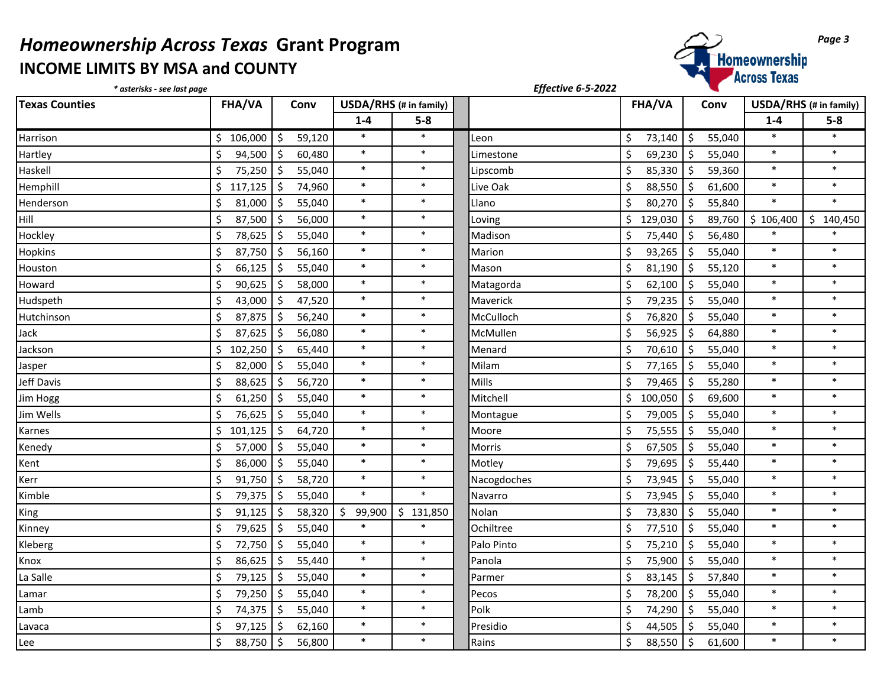## *Homeownership Across Texas* Grant Program<br>
INCOME LIMITS BY MSA and COUNTY<br> *Page 3*<br> *Page 3*<br> *Page 3* **INCOME LIMITS BY MSA and COUNTY**



| * asterisks - see last page     |                |                                |                        |               | Effective 6-5-2022 |               |                               |                        |           |
|---------------------------------|----------------|--------------------------------|------------------------|---------------|--------------------|---------------|-------------------------------|------------------------|-----------|
| <b>Texas Counties</b><br>FHA/VA |                | Conv                           | USDA/RHS (# in family) |               |                    | <b>FHA/VA</b> | Conv                          | USDA/RHS (# in family) |           |
|                                 |                |                                | $1 - 4$                | $5-8$         |                    |               |                               | $1-4$                  | $5-8$     |
| Harrison                        | 106,000<br>\$. | \$<br>59,120                   | $\ast$                 | $\ast$        | Leon               | \$<br>73,140  | $\zeta$<br>55,040             | $\ast$                 | $\ast$    |
| Hartley                         | Ś.<br>94,500   | \$<br>60,480                   | $\ast$                 | $\ast$        | Limestone          | \$<br>69,230  | $\zeta$<br>55,040             | $\ast$                 | $\ast$    |
| Haskell                         | \$<br>75,250   | \$<br>55,040                   | $\ast$                 | $\ast$        | Lipscomb           | Ś.<br>85,330  | $\ddot{\mathsf{S}}$<br>59,360 | $\ast$                 | $\ast$    |
| Hemphill                        | Ś.<br>117,125  | $\zeta$<br>74,960              | $\ast$                 | $\ast$        | Live Oak           | \$<br>88,550  | \$<br>61,600                  | $\ast$                 | $\ast$    |
| Henderson                       | 81,000<br>Ś    | \$<br>55,040                   | $\ast$                 | $\ast$        | Llano              | \$<br>80,270  | $\zeta$<br>55,840             | $\ast$                 | $\ast$    |
| Hill                            | \$<br>87,500   | $\zeta$<br>56,000              | $\ast$                 | $\ast$        | Loving             | \$<br>129,030 | $\zeta$<br>89,760             | \$106,400              | \$140,450 |
| Hockley                         | \$<br>78,625   | $\zeta$<br>55,040              | $\ast$                 | $\ast$        | Madison            | \$<br>75,440  | $\ddot{\mathsf{S}}$<br>56,480 | $\ast$                 | $\ast$    |
| Hopkins                         | 87,750<br>Ś    | \$<br>56,160                   | $\ast$                 | $\ast$        | Marion             | \$<br>93,265  | $\zeta$<br>55,040             | $\ast$                 | $\ast$    |
| Houston                         | Ś<br>66,125    | $\zeta$<br>55,040              | $\ast$                 | $\ast$        | Mason              | \$<br>81,190  | \$<br>55,120                  | $\ast$                 | $\ast$    |
| Howard                          | Ś<br>90,625    | $\zeta$<br>58,000              | $\ast$                 | $\ast$        | Matagorda          | \$<br>62,100  | $\ddot{\mathsf{S}}$<br>55,040 | $\ast$                 | $\ast$    |
| Hudspeth                        | Ś<br>43,000    | $\zeta$<br>47,520              | $\ast$                 | $\ast$        | Maverick           | \$<br>79,235  | $\zeta$<br>55,040             | $\ast$                 | $\ast$    |
| Hutchinson                      | Ś<br>87,875    | $\zeta$<br>56,240              | $\ast$                 | $\ast$        | McCulloch          | \$<br>76,820  | \$<br>55,040                  | $\ast$                 | $\ast$    |
| Jack                            | Ś<br>87,625    | $\zeta$<br>56,080              | $\ast$                 | $\ast$        | McMullen           | \$<br>56,925  | $\zeta$<br>64,880             | $\ast$                 | $\ast$    |
| Jackson                         | \$<br>102,250  | $\zeta$<br>65,440              | $\ast$                 | $\ast$        | Menard             | \$<br>70,610  | $\zeta$<br>55,040             | $\ast$                 | $\ast$    |
| Jasper                          | 82,000<br>Ś    | \$<br>55,040                   | $\ast$                 | $\ast$        | Milam              | \$<br>77,165  | $\zeta$<br>55,040             | $\ast$                 | $\ast$    |
| Jeff Davis                      | Ś<br>88,625    | \$<br>56,720                   | $\ast$                 | $\ast$        | Mills              | \$<br>79,465  | $\zeta$<br>55,280             | $\ast$                 | $\ast$    |
| Jim Hogg                        | \$<br>61,250   | \$<br>55,040                   | $\ast$                 | $\ast$        | Mitchell           | \$<br>100,050 | $\zeta$<br>69,600             | $\ast$                 | $\ast$    |
| Jim Wells                       | \$<br>76,625   | \$<br>55,040                   | $\ast$                 | $\ast$        | Montague           | Ś.<br>79,005  | $\zeta$<br>55,040             | $\ast$                 | $\ast$    |
| Karnes                          | Ś.<br>101,125  | \$<br>64,720                   | $\ast$                 | $\ast$        | Moore              | \$<br>75,555  | \$<br>55,040                  | $\ast$                 | $\ast$    |
| Kenedy                          | Ś<br>57,000    | $\zeta$<br>55,040              | $\ast$                 | $\ast$        | <b>Morris</b>      | \$<br>67,505  | Ŝ.<br>55,040                  | $\ast$                 | $\ast$    |
| Kent                            | Ś.<br>86,000   | \$<br>55,040                   | $\ast$                 | $\ast$        | Motley             | \$<br>79,695  | 55,440<br>\$                  | $\ast$                 | $\ast$    |
| Kerr                            | 91,750<br>Ś    | $\zeta$<br>58,720              | $\ast$                 | $\ast$        | Nacogdoches        | \$<br>73,945  | $\zeta$<br>55,040             | $\ast$                 | $\ast$    |
| Kimble                          | Ś<br>79,375    | \$<br>55,040                   | $\ast$                 | $\ast$        | Navarro            | \$<br>73,945  | \$<br>55,040                  | $\ast$                 | $\ast$    |
| King                            | \$<br>91,125   | \$<br>58,320                   | \$<br>99,900           | \$<br>131,850 | Nolan              | \$<br>73,830  | $\ddot{\mathsf{S}}$<br>55,040 | $\ast$                 | $\ast$    |
| Kinney                          | \$<br>79,625   | \$<br>55,040                   | $\ast$                 |               | Ochiltree          | \$<br>77,510  | $\ddot{\varsigma}$<br>55,040  | $\ast$                 | $\ast$    |
| Kleberg                         | Ś<br>72,750    | $\boldsymbol{\zeta}$<br>55,040 | $\ast$                 | $\ast$        | Palo Pinto         | \$<br>75,210  | $\zeta$<br>55,040             | $\ast$                 | $\ast$    |
| Knox                            | Ś<br>86,625    | \$<br>55,440                   | $\ast$                 | $\ast$        | Panola             | \$<br>75,900  | $\zeta$<br>55,040             | $\ast$                 | $\ast$    |
| La Salle                        | Ś<br>79,125    | \$<br>55,040                   | $\ast$                 | $\ast$        | Parmer             | \$<br>83,145  | \$<br>57,840                  | $\ast$                 | $\ast$    |
| Lamar                           | \$<br>79,250   | \$<br>55,040                   | $\ast$                 | $\ast$        | Pecos              | \$<br>78,200  | $\zeta$<br>55,040             | $\ast$                 | $\ast$    |
| Lamb                            | Ś<br>74,375    | \$<br>55,040                   | $\ast$                 | $\ast$        | Polk               | \$<br>74,290  | $\zeta$<br>55,040             | $\ast$                 | $\ast$    |
| Lavaca                          | \$<br>97,125   | \$<br>62,160                   | $\ast$                 | $\ast$        | Presidio           | \$<br>44,505  | $\zeta$<br>55,040             | $\ast$                 | $\ast$    |
| Lee                             | \$<br>88,750   | \$<br>56,800                   | $\ast$                 | $\ast$        | Rains              | \$<br>88,550  | $\zeta$<br>61,600             | $\ast$                 | $\ast$    |